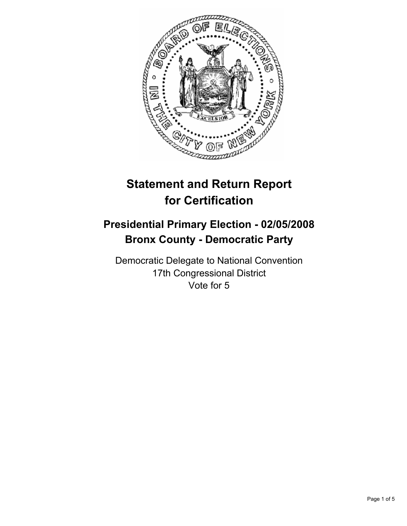

# **Statement and Return Report for Certification**

# **Presidential Primary Election - 02/05/2008 Bronx County - Democratic Party**

Democratic Delegate to National Convention 17th Congressional District Vote for 5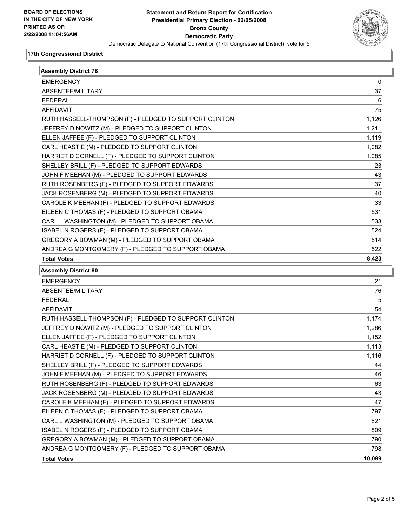

#### **17th Congressional District**

| <b>Assembly District 78</b>                            |                   |  |
|--------------------------------------------------------|-------------------|--|
| <b>EMERGENCY</b>                                       | 0                 |  |
| ABSENTEE/MILITARY                                      | 37                |  |
| <b>FEDERAL</b>                                         | 6                 |  |
| AFFIDAVIT                                              | 75                |  |
| RUTH HASSELL-THOMPSON (F) - PLEDGED TO SUPPORT CLINTON | 1,126             |  |
| JEFFREY DINOWITZ (M) - PLEDGED TO SUPPORT CLINTON      | 1,211             |  |
| ELLEN JAFFEE (F) - PLEDGED TO SUPPORT CLINTON          | 1,119             |  |
| CARL HEASTIE (M) - PLEDGED TO SUPPORT CLINTON          | 1,082             |  |
| HARRIET D CORNELL (F) - PLEDGED TO SUPPORT CLINTON     | 1,085             |  |
| SHELLEY BRILL (F) - PLEDGED TO SUPPORT EDWARDS         | 23                |  |
| JOHN F MEEHAN (M) - PLEDGED TO SUPPORT EDWARDS         | 43                |  |
| RUTH ROSENBERG (F) - PLEDGED TO SUPPORT EDWARDS        | 37                |  |
| JACK ROSENBERG (M) - PLEDGED TO SUPPORT EDWARDS        | 40                |  |
| CAROLE K MEEHAN (F) - PLEDGED TO SUPPORT EDWARDS       | 33                |  |
| EILEEN C THOMAS (F) - PLEDGED TO SUPPORT OBAMA         | 531               |  |
| CARL L WASHINGTON (M) - PLEDGED TO SUPPORT OBAMA       | 533               |  |
| ISABEL N ROGERS (F) - PLEDGED TO SUPPORT OBAMA         | 524               |  |
| GREGORY A BOWMAN (M) - PLEDGED TO SUPPORT OBAMA        | 514               |  |
| ANDREA G MONTGOMERY (F) - PLEDGED TO SUPPORT OBAMA     | 522               |  |
| <b>Total Votes</b>                                     | 8,423             |  |
| <b>Assembly District 80</b>                            |                   |  |
| <b>EMERGENCY</b>                                       | 21                |  |
| ABSENTEE/MILITARY                                      | 76                |  |
| <b>FEDERAL</b>                                         | 5                 |  |
| <b>AFFIDAVIT</b>                                       | 54                |  |
| RUTH HASSELL-THOMPSON (F) - PLEDGED TO SUPPORT CLINTON | 1,174             |  |
| JEFFREY DINOWITZ (M) - PLEDGED TO SUPPORT CLINTON      | 1,286             |  |
| ELLEN JAFFEE (F) - PLEDGED TO SUPPORT CLINTON          | 1,152             |  |
| CARL HEASTIE (M) - PLEDGED TO SUPPORT CLINTON          | 1,113             |  |
| HARRIET D CORNELL (F) - PLEDGED TO SUPPORT CLINTON     | 1,116             |  |
| SHELLEY BRILL (F) - PLEDGED TO SUPPORT EDWARDS         | 44                |  |
| JOHN F MEEHAN (M) - PLEDGED TO SUPPORT EDWARDS         | 46                |  |
| RUTH ROSENBERG (F) - PLEDGED TO SUPPORT EDWARDS        | 63                |  |
| JACK ROSENBERG (M) - PLEDGED TO SUPPORT EDWARDS        | 43                |  |
| CAROLE K MEEHAN (F) - PLEDGED TO SUPPORT EDWARDS       | 47                |  |
| EILEEN C THOMAS (F) - PLEDGED TO SUPPORT OBAMA         | 797               |  |
| CARL L WASHINGTON (M) - PLEDGED TO SUPPORT OBAMA       | 821               |  |
| ISABEL N ROGERS (F) - PLEDGED TO SUPPORT OBAMA         |                   |  |
|                                                        |                   |  |
| GREGORY A BOWMAN (M) - PLEDGED TO SUPPORT OBAMA        |                   |  |
| ANDREA G MONTGOMERY (F) - PLEDGED TO SUPPORT OBAMA     | 809<br>790<br>798 |  |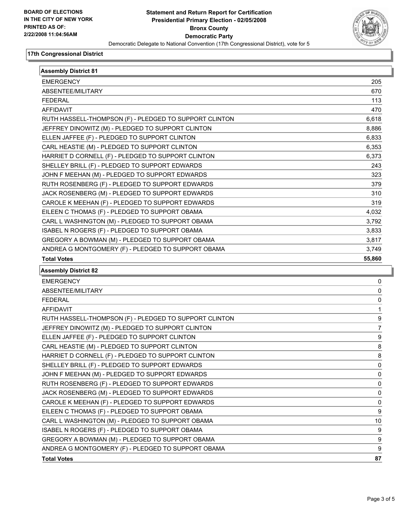

#### **17th Congressional District**

| <b>Assembly District 81</b>                            |        |
|--------------------------------------------------------|--------|
| <b>EMERGENCY</b>                                       | 205    |
| ABSENTEE/MILITARY                                      | 670    |
| <b>FEDERAL</b>                                         | 113    |
| <b>AFFIDAVIT</b>                                       | 470    |
| RUTH HASSELL-THOMPSON (F) - PLEDGED TO SUPPORT CLINTON | 6,618  |
| JEFFREY DINOWITZ (M) - PLEDGED TO SUPPORT CLINTON      | 8,886  |
| ELLEN JAFFEE (F) - PLEDGED TO SUPPORT CLINTON          | 6,833  |
| CARL HEASTIE (M) - PLEDGED TO SUPPORT CLINTON          | 6,353  |
| HARRIET D CORNELL (F) - PLEDGED TO SUPPORT CLINTON     | 6,373  |
| SHELLEY BRILL (F) - PLEDGED TO SUPPORT EDWARDS         | 243    |
| JOHN F MEEHAN (M) - PLEDGED TO SUPPORT EDWARDS         | 323    |
| RUTH ROSENBERG (F) - PLEDGED TO SUPPORT EDWARDS        | 379    |
| JACK ROSENBERG (M) - PLEDGED TO SUPPORT EDWARDS        | 310    |
| CAROLE K MEEHAN (F) - PLEDGED TO SUPPORT EDWARDS       | 319    |
| EILEEN C THOMAS (F) - PLEDGED TO SUPPORT OBAMA         | 4,032  |
| CARL L WASHINGTON (M) - PLEDGED TO SUPPORT OBAMA       | 3,792  |
| ISABEL N ROGERS (F) - PLEDGED TO SUPPORT OBAMA         | 3,833  |
| GREGORY A BOWMAN (M) - PLEDGED TO SUPPORT OBAMA        | 3,817  |
| ANDREA G MONTGOMERY (F) - PLEDGED TO SUPPORT OBAMA     | 3,749  |
| <b>Total Votes</b>                                     | 55,860 |
| <b>Assembly District 82</b>                            |        |
| <b>EMERGENCY</b>                                       | 0      |
| ABSENTEE/MILITARY                                      | 0      |
| <b>FEDERAL</b>                                         | 0      |
| AFFIDAVIT                                              | 1      |
| RUTH HASSELL-THOMPSON (F) - PLEDGED TO SUPPORT CLINTON | 9      |
| JEFFREY DINOWITZ (M) - PLEDGED TO SUPPORT CLINTON      | 7      |
| ELLEN JAFFEE (F) - PLEDGED TO SUPPORT CLINTON          | 9      |
| CARL HEASTIE (M) - PLEDGED TO SUPPORT CLINTON          | 8      |
| HARRIET D CORNELL (F) - PLEDGED TO SUPPORT CLINTON     | 8      |
| SHELLEY BRILL (F) - PLEDGED TO SUPPORT EDWARDS         | 0      |
| JOHN F MEEHAN (M) - PLEDGED TO SUPPORT EDWARDS         | 0      |
| RUTH ROSENBERG (F) - PLEDGED TO SUPPORT EDWARDS        | 0      |
| JACK ROSENBERG (M) - PLEDGED TO SUPPORT EDWARDS        | 0      |
| CAROLE K MEEHAN (F) - PLEDGED TO SUPPORT EDWARDS       | 0      |
| EILEEN C THOMAS (F) - PLEDGED TO SUPPORT OBAMA         | 9      |
| CARL L WASHINGTON (M) - PLEDGED TO SUPPORT OBAMA       | 10     |
| ISABEL N ROGERS (F) - PLEDGED TO SUPPORT OBAMA         | 9      |
| GREGORY A BOWMAN (M) - PLEDGED TO SUPPORT OBAMA        | 9      |
| ANDREA G MONTGOMERY (F) - PLEDGED TO SUPPORT OBAMA     | 9      |

**Total Votes 87**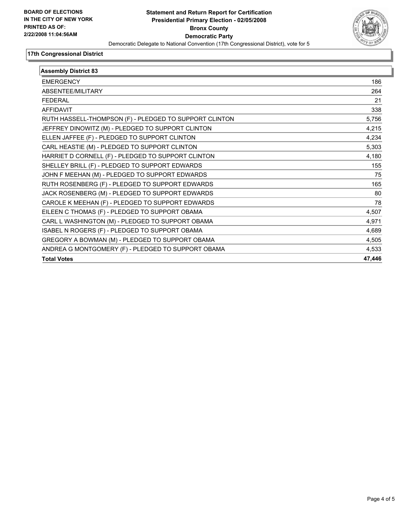

## **17th Congressional District**

| <b>Assembly District 83</b>                            |        |
|--------------------------------------------------------|--------|
| <b>EMERGENCY</b>                                       | 186    |
| ABSENTEE/MILITARY                                      | 264    |
| <b>FEDERAL</b>                                         | 21     |
| <b>AFFIDAVIT</b>                                       | 338    |
| RUTH HASSELL-THOMPSON (F) - PLEDGED TO SUPPORT CLINTON | 5,756  |
| JEFFREY DINOWITZ (M) - PLEDGED TO SUPPORT CLINTON      | 4,215  |
| ELLEN JAFFEE (F) - PLEDGED TO SUPPORT CLINTON          | 4,234  |
| CARL HEASTIE (M) - PLEDGED TO SUPPORT CLINTON          | 5,303  |
| HARRIET D CORNELL (F) - PLEDGED TO SUPPORT CLINTON     | 4,180  |
| SHELLEY BRILL (F) - PLEDGED TO SUPPORT EDWARDS         | 155    |
| JOHN F MEEHAN (M) - PLEDGED TO SUPPORT EDWARDS         | 75     |
| RUTH ROSENBERG (F) - PLEDGED TO SUPPORT EDWARDS        | 165    |
| JACK ROSENBERG (M) - PLEDGED TO SUPPORT EDWARDS        | 80     |
| CAROLE K MEEHAN (F) - PLEDGED TO SUPPORT EDWARDS       | 78     |
| EILEEN C THOMAS (F) - PLEDGED TO SUPPORT OBAMA         | 4,507  |
| CARL L WASHINGTON (M) - PLEDGED TO SUPPORT OBAMA       | 4,971  |
| ISABEL N ROGERS (F) - PLEDGED TO SUPPORT OBAMA         | 4,689  |
| GREGORY A BOWMAN (M) - PLEDGED TO SUPPORT OBAMA        | 4,505  |
| ANDREA G MONTGOMERY (F) - PLEDGED TO SUPPORT OBAMA     | 4,533  |
| <b>Total Votes</b>                                     | 47,446 |